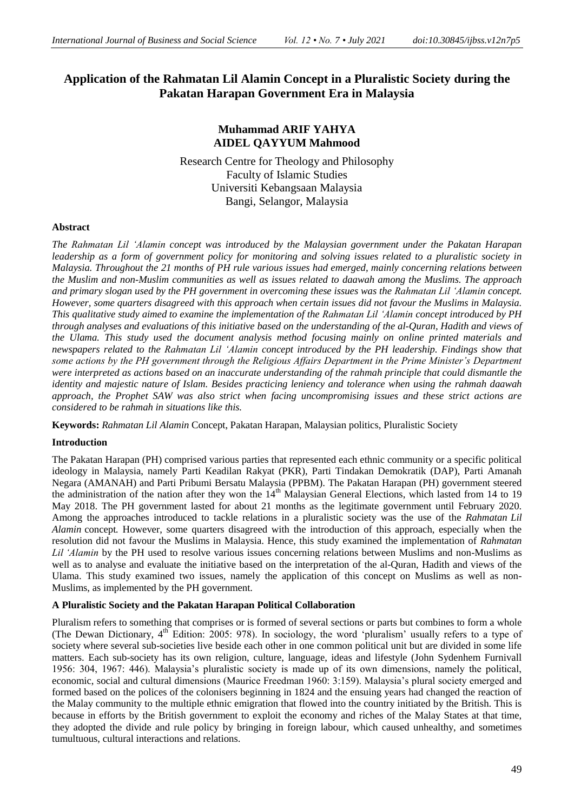# **Application of the Rahmatan Lil Alamin Concept in a Pluralistic Society during the Pakatan Harapan Government Era in Malaysia**

## **Muhammad ARIF YAHYA AIDEL QAYYUM Mahmood**

Research Centre for Theology and Philosophy Faculty of Islamic Studies Universiti Kebangsaan Malaysia Bangi, Selangor, Malaysia

### **Abstract**

*The Rahmatan Lil 'Alamin concept was introduced by the Malaysian government under the Pakatan Harapan leadership as a form of government policy for monitoring and solving issues related to a pluralistic society in Malaysia. Throughout the 21 months of PH rule various issues had emerged, mainly concerning relations between the Muslim and non-Muslim communities as well as issues related to daawah among the Muslims. The approach and primary slogan used by the PH government in overcoming these issues was the Rahmatan Lil 'Alamin concept. However, some quarters disagreed with this approach when certain issues did not favour the Muslims in Malaysia. This qualitative study aimed to examine the implementation of the Rahmatan Lil 'Alamin concept introduced by PH through analyses and evaluations of this initiative based on the understanding of the al-Quran, Hadith and views of the Ulama. This study used the document analysis method focusing mainly on online printed materials and newspapers related to the Rahmatan Lil 'Alamin concept introduced by the PH leadership. Findings show that some actions by the PH government through the Religious Affairs Department in the Prime Minister's Department were interpreted as actions based on an inaccurate understanding of the rahmah principle that could dismantle the identity and majestic nature of Islam. Besides practicing leniency and tolerance when using the rahmah daawah approach, the Prophet SAW was also strict when facing uncompromising issues and these strict actions are considered to be rahmah in situations like this.*

**Keywords:** *Rahmatan Lil Alamin* Concept, Pakatan Harapan, Malaysian politics, Pluralistic Society

### **Introduction**

The Pakatan Harapan (PH) comprised various parties that represented each ethnic community or a specific political ideology in Malaysia, namely Parti Keadilan Rakyat (PKR), Parti Tindakan Demokratik (DAP), Parti Amanah Negara (AMANAH) and Parti Pribumi Bersatu Malaysia (PPBM). The Pakatan Harapan (PH) government steered the administration of the nation after they won the  $14<sup>th</sup>$  Malaysian General Elections, which lasted from 14 to 19 May 2018. The PH government lasted for about 21 months as the legitimate government until February 2020. Among the approaches introduced to tackle relations in a pluralistic society was the use of the *Rahmatan Lil Alamin* concept*.* However, some quarters disagreed with the introduction of this approach, especially when the resolution did not favour the Muslims in Malaysia. Hence, this study examined the implementation of *Rahmatan Lil 'Alamin* by the PH used to resolve various issues concerning relations between Muslims and non-Muslims as well as to analyse and evaluate the initiative based on the interpretation of the al-Quran, Hadith and views of the Ulama. This study examined two issues, namely the application of this concept on Muslims as well as non-Muslims, as implemented by the PH government.

### **A Pluralistic Society and the Pakatan Harapan Political Collaboration**

Pluralism refers to something that comprises or is formed of several sections or parts but combines to form a whole (The Dewan Dictionary, 4<sup>th</sup> Edition: 2005: 978). In sociology, the word 'pluralism' usually refers to a type of society where several sub-societies live beside each other in one common political unit but are divided in some life matters. Each sub-society has its own religion, culture, language, ideas and lifestyle (John Sydenhem Furnivall 1956: 304, 1967: 446). Malaysia"s pluralistic society is made up of its own dimensions, namely the political, economic, social and cultural dimensions (Maurice Freedman 1960: 3:159). Malaysia"s plural society emerged and formed based on the polices of the colonisers beginning in 1824 and the ensuing years had changed the reaction of the Malay community to the multiple ethnic emigration that flowed into the country initiated by the British. This is because in efforts by the British government to exploit the economy and riches of the Malay States at that time, they adopted the divide and rule policy by bringing in foreign labour, which caused unhealthy, and sometimes tumultuous, cultural interactions and relations.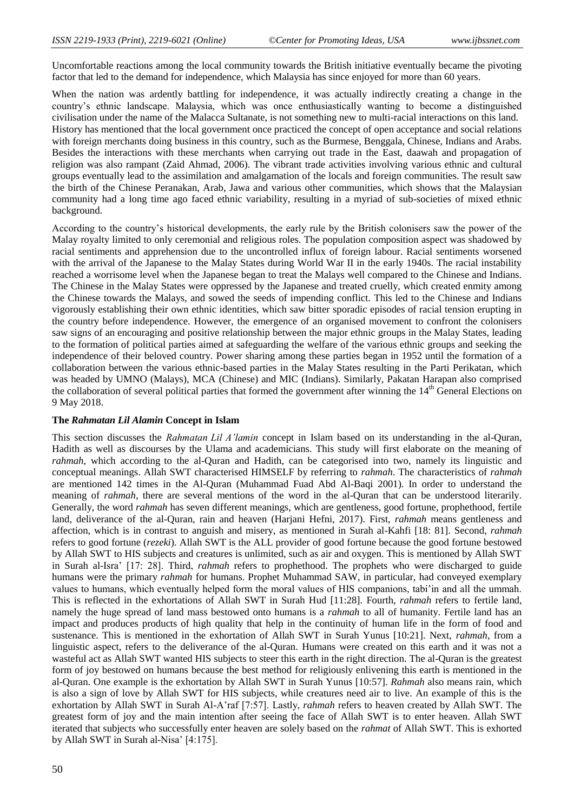Uncomfortable reactions among the local community towards the British initiative eventually became the pivoting factor that led to the demand for independence, which Malaysia has since enjoyed for more than 60 years.

When the nation was ardently battling for independence, it was actually indirectly creating a change in the country"s ethnic landscape. Malaysia, which was once enthusiastically wanting to become a distinguished civilisation under the name of the Malacca Sultanate, is not something new to multi-racial interactions on this land. History has mentioned that the local government once practiced the concept of open acceptance and social relations with foreign merchants doing business in this country, such as the Burmese, Benggala, Chinese, Indians and Arabs. Besides the interactions with these merchants when carrying out trade in the East, daawah and propagation of religion was also rampant (Zaid Ahmad, 2006). The vibrant trade activities involving various ethnic and cultural groups eventually lead to the assimilation and amalgamation of the locals and foreign communities. The result saw the birth of the Chinese Peranakan, Arab, Jawa and various other communities, which shows that the Malaysian community had a long time ago faced ethnic variability, resulting in a myriad of sub-societies of mixed ethnic background.

According to the country"s historical developments, the early rule by the British colonisers saw the power of the Malay royalty limited to only ceremonial and religious roles. The population composition aspect was shadowed by racial sentiments and apprehension due to the uncontrolled influx of foreign labour. Racial sentiments worsened with the arrival of the Japanese to the Malay States during World War II in the early 1940s. The racial instability reached a worrisome level when the Japanese began to treat the Malays well compared to the Chinese and Indians. The Chinese in the Malay States were oppressed by the Japanese and treated cruelly, which created enmity among the Chinese towards the Malays, and sowed the seeds of impending conflict. This led to the Chinese and Indians vigorously establishing their own ethnic identities, which saw bitter sporadic episodes of racial tension erupting in the country before independence. However, the emergence of an organised movement to confront the colonisers saw signs of an encouraging and positive relationship between the major ethnic groups in the Malay States, leading to the formation of political parties aimed at safeguarding the welfare of the various ethnic groups and seeking the independence of their beloved country. Power sharing among these parties began in 1952 until the formation of a collaboration between the various ethnic-based parties in the Malay States resulting in the Parti Perikatan, which was headed by UMNO (Malays), MCA (Chinese) and MIC (Indians). Similarly, Pakatan Harapan also comprised the collaboration of several political parties that formed the government after winning the 14<sup>th</sup> General Elections on 9 May 2018.

### **The** *Rahmatan Lil Alamin* **Concept in Islam**

This section discusses the *Rahmatan Lil A'lamin* concept in Islam based on its understanding in the al-Quran, Hadith as well as discourses by the Ulama and academicians. This study will first elaborate on the meaning of *rahmah*, which according to the al-Quran and Hadith, can be categorised into two, namely its linguistic and conceptual meanings. Allah SWT characterised HIMSELF by referring to *rahmah*. The characteristics of *rahmah* are mentioned 142 times in the Al-Quran (Muhammad Fuad Abd Al-Baqi 2001). In order to understand the meaning of *rahmah*, there are several mentions of the word in the al-Quran that can be understood literarily. Generally, the word *rahmah* has seven different meanings, which are gentleness, good fortune, prophethood, fertile land, deliverance of the al-Quran, rain and heaven (Harjani Hefni, 2017). First, *rahmah* means gentleness and affection, which is in contrast to anguish and misery, as mentioned in Surah al-Kahfi [18: 81]. Second, *rahmah* refers to good fortune (*rezeki*). Allah SWT is the ALL provider of good fortune because the good fortune bestowed by Allah SWT to HIS subjects and creatures is unlimited, such as air and oxygen. This is mentioned by Allah SWT in Surah al-Isra" [17: 28]. Third, *rahmah* refers to prophethood. The prophets who were discharged to guide humans were the primary *rahmah* for humans. Prophet Muhammad SAW, in particular, had conveyed exemplary values to humans, which eventually helped form the moral values of HIS companions, tabi"in and all the ummah. This is reflected in the exhortations of Allah SWT in Surah Hud [11:28]. Fourth, *rahmah* refers to fertile land, namely the huge spread of land mass bestowed onto humans is a *rahmah* to all of humanity. Fertile land has an impact and produces products of high quality that help in the continuity of human life in the form of food and sustenance. This is mentioned in the exhortation of Allah SWT in Surah Yunus [10:21]. Next, *rahmah*, from a linguistic aspect, refers to the deliverance of the al-Quran. Humans were created on this earth and it was not a wasteful act as Allah SWT wanted HIS subjects to steer this earth in the right direction. The al-Quran is the greatest form of joy bestowed on humans because the best method for religiously enlivening this earth is mentioned in the al-Quran. One example is the exhortation by Allah SWT in Surah Yunus [10:57]. *Rahmah* also means rain, which is also a sign of love by Allah SWT for HIS subjects, while creatures need air to live. An example of this is the exhortation by Allah SWT in Surah Al-A"raf [7:57]. Lastly, *rahmah* refers to heaven created by Allah SWT. The greatest form of joy and the main intention after seeing the face of Allah SWT is to enter heaven. Allah SWT iterated that subjects who successfully enter heaven are solely based on the *rahmat* of Allah SWT. This is exhorted by Allah SWT in Surah al-Nisa' [4:175].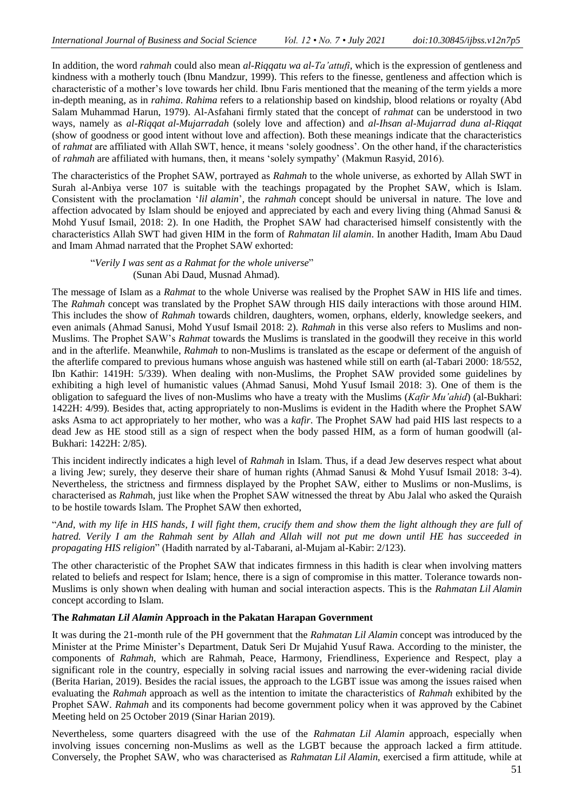In addition, the word *rahmah* could also mean *al-Riqqatu wa al-Ta'attufi*, which is the expression of gentleness and kindness with a motherly touch (Ibnu Mandzur, 1999). This refers to the finesse, gentleness and affection which is characteristic of a mother"s love towards her child. Ibnu Faris mentioned that the meaning of the term yields a more in-depth meaning, as in *rahima*. *Rahima* refers to a relationship based on kindship, blood relations or royalty (Abd Salam Muhammad Harun, 1979). Al-Asfahani firmly stated that the concept of *rahmat* can be understood in two ways, namely as *al-Riqqat al-Mujarradah* (solely love and affection) and *al-Ihsan al-Mujarrad duna al-Riqqat* (show of goodness or good intent without love and affection). Both these meanings indicate that the characteristics of *rahmat* are affiliated with Allah SWT, hence, it means "solely goodness". On the other hand, if the characteristics of *rahmah* are affiliated with humans, then, it means "solely sympathy" (Makmun Rasyid, 2016).

The characteristics of the Prophet SAW, portrayed as *Rahmah* to the whole universe, as exhorted by Allah SWT in Surah al-Anbiya verse 107 is suitable with the teachings propagated by the Prophet SAW, which is Islam. Consistent with the proclamation "*lil alamin*"*,* the *rahmah* concept should be universal in nature. The love and affection advocated by Islam should be enjoyed and appreciated by each and every living thing (Ahmad Sanusi & Mohd Yusuf Ismail, 2018: 2). In one Hadith, the Prophet SAW had characterised himself consistently with the characteristics Allah SWT had given HIM in the form of *Rahmatan lil alamin*. In another Hadith, Imam Abu Daud and Imam Ahmad narrated that the Prophet SAW exhorted:

"*Verily I was sent as a Rahmat for the whole universe*" (Sunan Abi Daud, Musnad Ahmad).

The message of Islam as a *Rahmat* to the whole Universe was realised by the Prophet SAW in HIS life and times. The *Rahmah* concept was translated by the Prophet SAW through HIS daily interactions with those around HIM. This includes the show of *Rahmah* towards children, daughters, women, orphans, elderly, knowledge seekers, and even animals (Ahmad Sanusi, Mohd Yusuf Ismail 2018: 2). *Rahmah* in this verse also refers to Muslims and non-Muslims. The Prophet SAW"s *Rahmat* towards the Muslims is translated in the goodwill they receive in this world and in the afterlife. Meanwhile, *Rahmah* to non-Muslims is translated as the escape or deferment of the anguish of the afterlife compared to previous humans whose anguish was hastened while still on earth (al-Tabari 2000: 18/552, Ibn Kathir: 1419H: 5/339). When dealing with non-Muslims, the Prophet SAW provided some guidelines by exhibiting a high level of humanistic values (Ahmad Sanusi, Mohd Yusuf Ismail 2018: 3). One of them is the obligation to safeguard the lives of non-Muslims who have a treaty with the Muslims (*Kafir Mu'ahid*) (al-Bukhari: 1422H: 4/99). Besides that, acting appropriately to non-Muslims is evident in the Hadith where the Prophet SAW asks Asma to act appropriately to her mother, who was a *kafir*. The Prophet SAW had paid HIS last respects to a dead Jew as HE stood still as a sign of respect when the body passed HIM, as a form of human goodwill (al-Bukhari: 1422H: 2/85).

This incident indirectly indicates a high level of *Rahmah* in Islam. Thus, if a dead Jew deserves respect what about a living Jew; surely, they deserve their share of human rights (Ahmad Sanusi & Mohd Yusuf Ismail 2018: 3-4). Nevertheless, the strictness and firmness displayed by the Prophet SAW, either to Muslims or non-Muslims, is characterised as *Rahma*h, just like when the Prophet SAW witnessed the threat by Abu Jalal who asked the Quraish to be hostile towards Islam. The Prophet SAW then exhorted,

"*And, with my life in HIS hands, I will fight them, crucify them and show them the light although they are full of hatred. Verily I am the Rahmah sent by Allah and Allah will not put me down until HE has succeeded in propagating HIS religion*" (Hadith narrated by al-Tabarani, al-Mujam al-Kabir: 2/123).

The other characteristic of the Prophet SAW that indicates firmness in this hadith is clear when involving matters related to beliefs and respect for Islam; hence, there is a sign of compromise in this matter. Tolerance towards non-Muslims is only shown when dealing with human and social interaction aspects. This is the *Rahmatan Lil Alamin*  concept according to Islam.

### **The** *Rahmatan Lil Alamin* **Approach in the Pakatan Harapan Government**

It was during the 21-month rule of the PH government that the *Rahmatan Lil Alamin* concept was introduced by the Minister at the Prime Minister"s Department, Datuk Seri Dr Mujahid Yusuf Rawa. According to the minister, the components of *Rahmah*, which are Rahmah, Peace, Harmony, Friendliness, Experience and Respect, play a significant role in the country, especially in solving racial issues and narrowing the ever-widening racial divide (Berita Harian, 2019). Besides the racial issues, the approach to the LGBT issue was among the issues raised when evaluating the *Rahmah* approach as well as the intention to imitate the characteristics of *Rahmah* exhibited by the Prophet SAW. *Rahmah* and its components had become government policy when it was approved by the Cabinet Meeting held on 25 October 2019 (Sinar Harian 2019).

Nevertheless, some quarters disagreed with the use of the *Rahmatan Lil Alamin* approach, especially when involving issues concerning non-Muslims as well as the LGBT because the approach lacked a firm attitude. Conversely, the Prophet SAW, who was characterised as *Rahmatan Lil Alamin*, exercised a firm attitude, while at